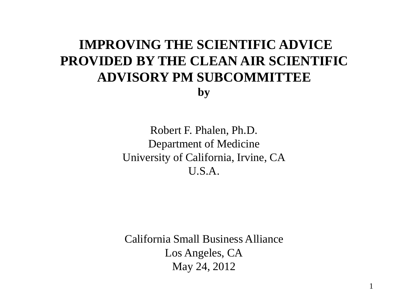#### **IMPROVING THE SCIENTIFIC ADVICE PROVIDED BY THE CLEAN AIR SCIENTIFIC ADVISORY PM SUBCOMMITTEE by**

Robert F. Phalen, Ph.D. Department of Medicine University of California, Irvine, CA U.S.A.

California Small Business Alliance Los Angeles, CA May 24, 2012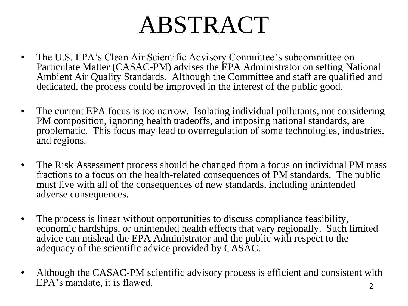# ABSTRACT

- The U.S. EPA's Clean Air Scientific Advisory Committee's subcommittee on Particulate Matter (CASAC-PM) advises the EPA Administrator on setting National Ambient Air Quality Standards. Although the Committee and staff are qualified and dedicated, the process could be improved in the interest of the public good.
- The current EPA focus is too narrow. Isolating individual pollutants, not considering PM composition, ignoring health tradeoffs, and imposing national standards, are problematic. This focus may lead to overregulation of some technologies, industries, and regions.
- The Risk Assessment process should be changed from a focus on individual PM mass fractions to a focus on the health-related consequences of PM standards. The public must live with all of the consequences of new standards, including unintended adverse consequences.
- The process is linear without opportunities to discuss compliance feasibility, economic hardships, or unintended health effects that vary regionally. Such limited advice can mislead the EPA Administrator and the public with respect to the adequacy of the scientific advice provided by CASAC.
- 2 • Although the CASAC-PM scientific advisory process is efficient and consistent with EPA's mandate, it is flawed.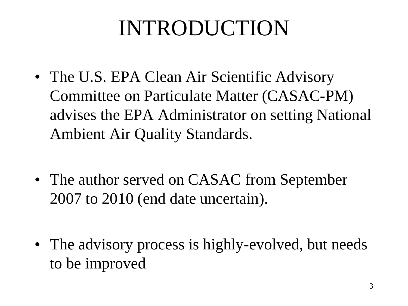# INTRODUCTION

- The U.S. EPA Clean Air Scientific Advisory Committee on Particulate Matter (CASAC-PM) advises the EPA Administrator on setting National Ambient Air Quality Standards.
- The author served on CASAC from September 2007 to 2010 (end date uncertain).
- The advisory process is highly-evolved, but needs to be improved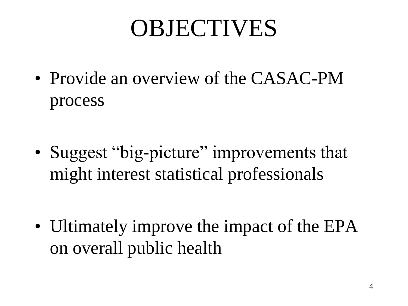# **OBJECTIVES**

• Provide an overview of the CASAC-PM process

• Suggest "big-picture" improvements that might interest statistical professionals

• Ultimately improve the impact of the EPA on overall public health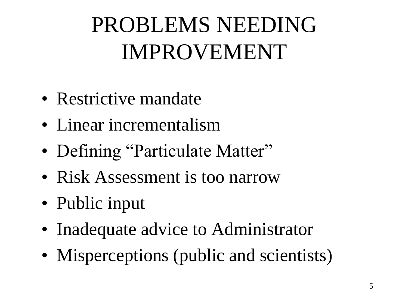# PROBLEMS NEEDING IMPROVEMENT

- Restrictive mandate
- Linear incrementalism
- Defining "Particulate Matter"
- Risk Assessment is too narrow
- Public input
- Inadequate advice to Administrator
- Misperceptions (public and scientists)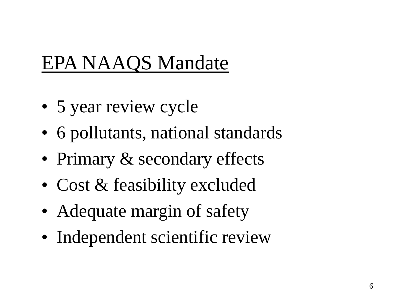# EPA NAAQS Mandate

- 5 year review cycle
- 6 pollutants, national standards
- Primary & secondary effects
- Cost & feasibility excluded
- Adequate margin of safety
- Independent scientific review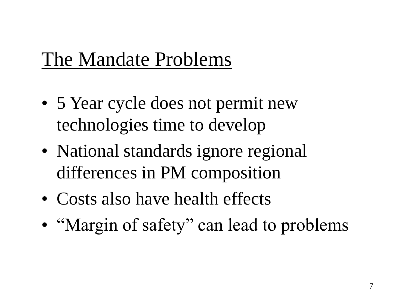### The Mandate Problems

- 5 Year cycle does not permit new technologies time to develop
- National standards ignore regional differences in PM composition
- Costs also have health effects
- "Margin of safety" can lead to problems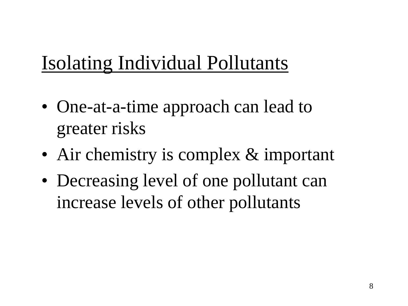# Isolating Individual Pollutants

- One-at-a-time approach can lead to greater risks
- Air chemistry is complex & important
- Decreasing level of one pollutant can increase levels of other pollutants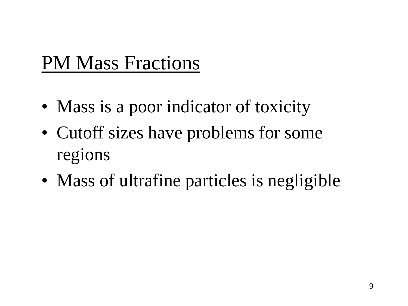### PM Mass Fractions

- Mass is a poor indicator of toxicity
- Cutoff sizes have problems for some regions
- Mass of ultrafine particles is negligible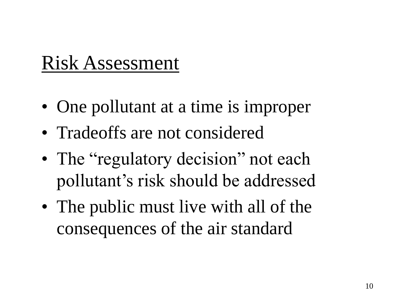### Risk Assessment

- One pollutant at a time is improper
- Tradeoffs are not considered
- The "regulatory decision" not each pollutant's risk should be addressed
- The public must live with all of the consequences of the air standard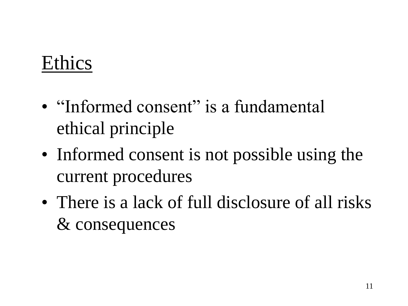### Ethics

- "Informed consent" is a fundamental ethical principle
- Informed consent is not possible using the current procedures
- There is a lack of full disclosure of all risks & consequences